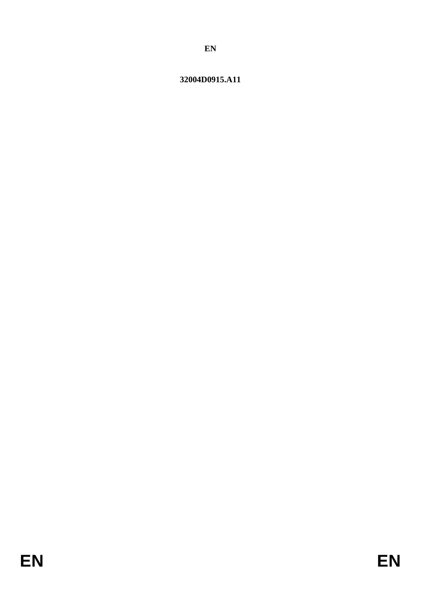# 32004D0915.A11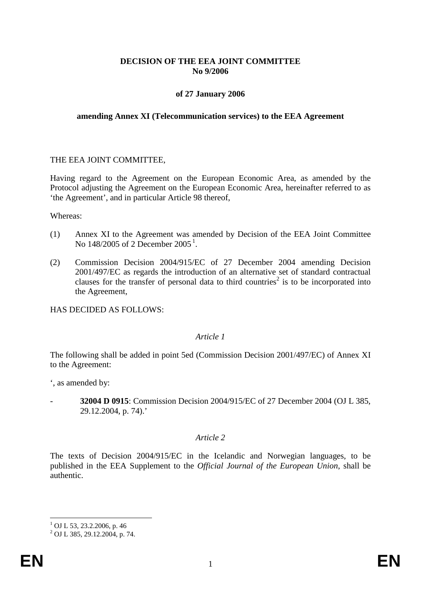## **DECISION OF THE EEA JOINT COMMITTEE No 9/2006**

## **of 27 January 2006**

#### **amending Annex XI (Telecommunication services) to the EEA Agreement**

#### THE EEA JOINT COMMITTEE,

Having regard to the Agreement on the European Economic Area, as amended by the Protocol adjusting the Agreement on the European Economic Area, hereinafter referred to as 'the Agreement', and in particular Article 98 thereof,

Whereas:

- (1) Annex XI to the Agreement was amended by Decision of the EEA Joint Committee No [1](#page-1-0)48/2005 of 2 December 2005<sup>1</sup>.
- (2) Commission Decision 2004/915/EC of 27 December 2004 amending Decision 2001/497/EC as regards the introduction of an alternative set of standard contractual clauses for the transfer of personal data to third countries<sup>2</sup> is to be incorporated into the Agreement,

HAS DECIDED AS FOLLOWS:

#### *Article 1*

The following shall be added in point 5ed (Commission Decision 2001/497/EC) of Annex XI to the Agreement:

', as amended by:

- **32004 D 0915**: Commission Decision 2004/915/EC of 27 December 2004 (OJ L 385, 29.12.2004, p. 74).'

### *Article 2*

The texts of Decision 2004/915/EC in the Icelandic and Norwegian languages, to be published in the EEA Supplement to the *Official Journal of the European Union*, shall be authentic.

 $1$  OJ L 53, 23.2.2006, p. 46

<span id="page-1-0"></span> $^{2}$  OJ L 385, 29.12.2004, p. 74.